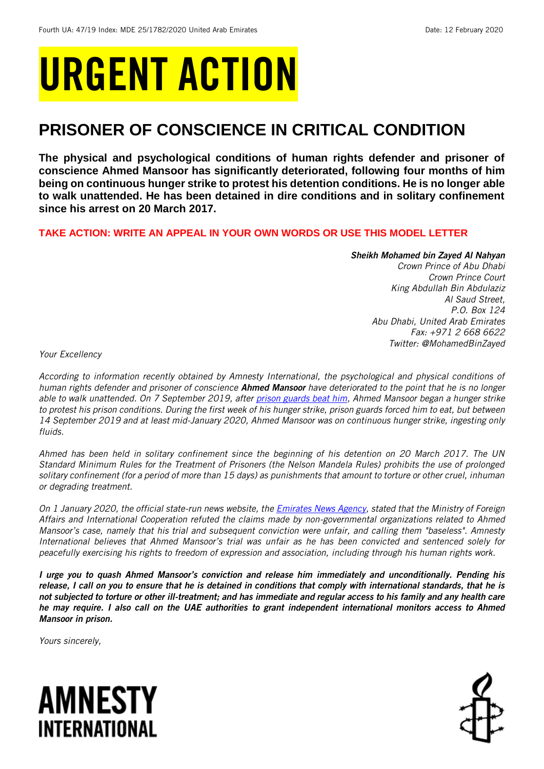# URGENT ACTION

## **PRISONER OF CONSCIENCE IN CRITICAL CONDITION**

**The physical and psychological conditions of human rights defender and prisoner of conscience Ahmed Mansoor has significantly deteriorated, following four months of him being on continuous hunger strike to protest his detention conditions. He is no longer able to walk unattended. He has been detained in dire conditions and in solitary confinement since his arrest on 20 March 2017.**

#### **TAKE ACTION: WRITE AN APPEAL IN YOUR OWN WORDS OR USE THIS MODEL LETTER**

#### *Sheikh Mohamed bin Zayed Al Nahyan*

*Crown Prince of Abu Dhabi Crown Prince Court King Abdullah Bin Abdulaziz Al Saud Street, P.O. Box 124 Abu Dhabi, United Arab Emirates Fax: +971 2 668 6622 Twitter: @MohamedBinZayed* 

*Your Excellency*

*According to information recently obtained by Amnesty International, the psychological and physical conditions of human rights defender and prisoner of conscience Ahmed Mansoor have deteriorated to the point that he is no longer able to walk unattended. On 7 September 2019, after [prison guards beat him,](https://www.amnesty.org/en/documents/mde25/1590/2019/en/) Ahmed Mansoor began a hunger strike to protest his prison conditions. During the first week of his hunger strike, prison guards forced him to eat, but between 14 September 2019 and at least mid-January 2020, Ahmed Mansoor was on continuous hunger strike, ingesting only fluids.* 

*Ahmed has been held in solitary confinement since the beginning of his detention on 20 March 2017. The UN Standard Minimum Rules for the Treatment of Prisoners (the Nelson Mandela Rules) prohibits the use of prolonged solitary confinement (for a period of more than 15 days) as punishments that amount to torture or other cruel, inhuman or degrading treatment.*

*On 1 January 2020, the official state-run news website, the [Emirates News Agency,](https://wam.ae/en/details/1395302813691) stated that the Ministry of Foreign Affairs and International Cooperation refuted the claims made by non-governmental organizations related to Ahmed Mansoor's case, namely that his trial and subsequent conviction were unfair, and calling them "baseless". Amnesty International believes that Ahmed Mansoor's trial was unfair as he has been convicted and sentenced solely for peacefully exercising his rights to freedom of expression and association, including through his human rights work.*

*I urge you to quash Ahmed Mansoor's conviction and release him immediately and unconditionally. Pending his release, I call on you to ensure that he is detained in conditions that comply with international standards, that he is not subjected to torture or other ill-treatment; and has immediate and regular access to his family and any health care he may require. I also call on the UAE authorities to grant independent international monitors access to Ahmed Mansoor in prison.*

*Yours sincerely,*